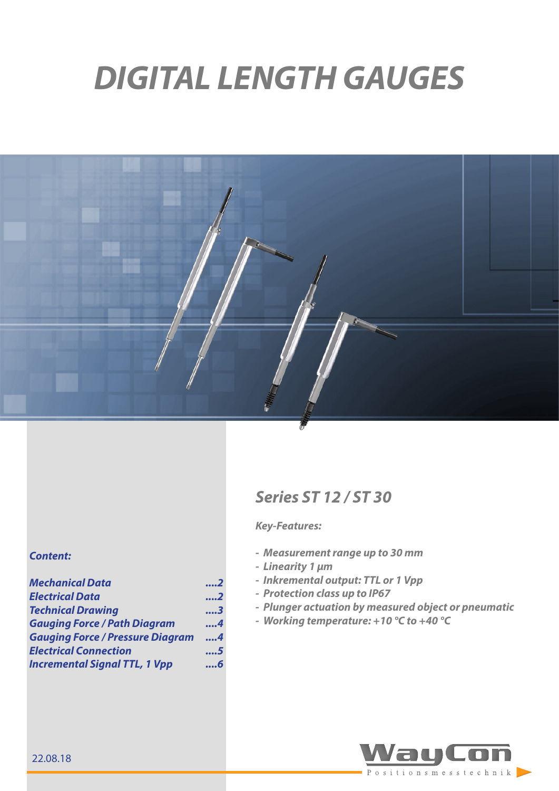# *DIGITAL LENGTH GAUGES*



#### *Content:*

| <b>Mechanical Data</b>                  | . 2 |
|-----------------------------------------|-----|
| <b>Electrical Data</b>                  | 2   |
| <b>Technical Drawing</b>                | 3   |
| <b>Gauging Force / Path Diagram</b>     | 4   |
| <b>Gauging Force / Pressure Diagram</b> | 4   |
| <b>Electrical Connection</b>            | 5   |
| <b>Incremental Signal TTL, 1 Vpp</b>    | 6   |

# *Series ST 12 / ST 30*

#### *Key-Features:*

- *- Measurement range up to 30 mm*
- *- Linearity 1 μm*
- *- Inkremental output: TTL or 1 Vpp*
- *- Protection class up to IP67*
- *- Plunger actuation by measured object or pneumatic*
- *- Working temperature: +10 °C to +40 °C*

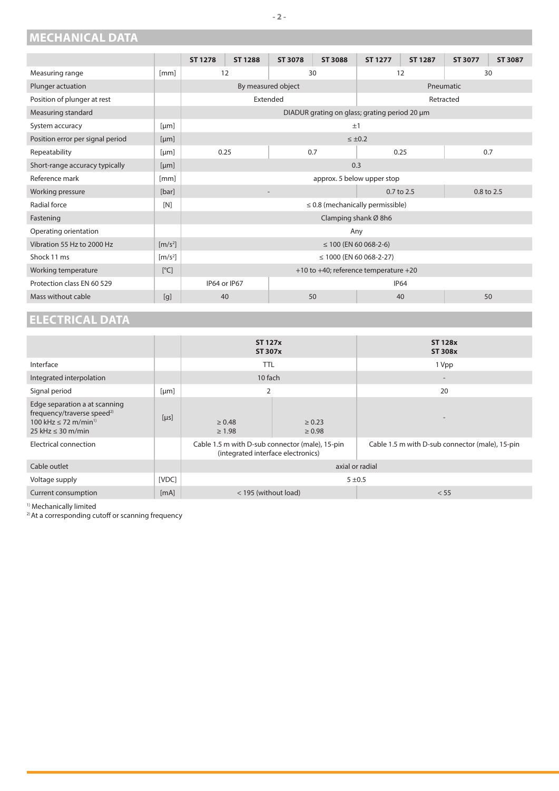## <span id="page-1-0"></span>**MECHANICAL DATA**

|                                  |                              | <b>ST 1278</b>                                | <b>ST 1288</b> | <b>ST 3078</b>     | <b>ST 3088</b> | <b>ST 1277</b> | <b>ST 1287</b> | <b>ST 3077</b> | <b>ST 3087</b> |
|----------------------------------|------------------------------|-----------------------------------------------|----------------|--------------------|----------------|----------------|----------------|----------------|----------------|
|                                  |                              |                                               |                |                    |                |                |                |                |                |
| Measuring range                  | [mm]                         | 12                                            |                | 30                 |                | 12             |                | 30             |                |
| Plunger actuation                |                              |                                               |                | By measured object |                |                |                | Pneumatic      |                |
| Position of plunger at rest      |                              | Extended                                      |                |                    |                |                | Retracted      |                |                |
| Measuring standard               |                              | DIADUR grating on glass; grating period 20 µm |                |                    |                |                |                |                |                |
| System accuracy                  | [µm]                         | ±1                                            |                |                    |                |                |                |                |                |
| Position error per signal period | [µm]                         |                                               | $\leq \pm 0.2$ |                    |                |                |                |                |                |
| Repeatability                    | [µm]                         | 0.25<br>0.7                                   |                | 0.25               |                | 0.7            |                |                |                |
| Short-range accuracy typically   | [µm]                         | 0.3                                           |                |                    |                |                |                |                |                |
| Reference mark                   | [mm]                         | approx. 5 below upper stop                    |                |                    |                |                |                |                |                |
| Working pressure                 | [bar]                        | $0.7$ to $2.5$<br>$0.8$ to $2.5$              |                |                    |                |                |                |                |                |
| Radial force                     | [N]                          | $\leq$ 0.8 (mechanically permissible)         |                |                    |                |                |                |                |                |
| Fastening                        |                              | Clamping shank Ø 8h6                          |                |                    |                |                |                |                |                |
| Operating orientation            |                              | Any                                           |                |                    |                |                |                |                |                |
| Vibration 55 Hz to 2000 Hz       | $\left[\frac{m}{s^2}\right]$ | $\leq$ 100 (EN 60 068-2-6)                    |                |                    |                |                |                |                |                |
| Shock 11 ms                      | $\left[\frac{m}{s^2}\right]$ | $\leq$ 1000 (EN 60 068-2-27)                  |                |                    |                |                |                |                |                |
| Working temperature              | [°C]                         | $+10$ to $+40$ ; reference temperature $+20$  |                |                    |                |                |                |                |                |
| Protection class EN 60 529       |                              | IP64 or IP67<br><b>IP64</b>                   |                |                    |                |                |                |                |                |
| Mass without cable               | [q]                          | 40                                            |                |                    | 50             |                | 40             |                | 50             |

# **ELECTRICAL DATA**

|                                                                                                                                            |       | <b>ST 127x</b><br><b>ST 307x</b>                                                      |                           | <b>ST 128x</b><br><b>ST 308x</b>                |  |
|--------------------------------------------------------------------------------------------------------------------------------------------|-------|---------------------------------------------------------------------------------------|---------------------------|-------------------------------------------------|--|
| Interface                                                                                                                                  |       | TTL                                                                                   |                           | 1 Vpp                                           |  |
| Integrated interpolation                                                                                                                   |       | 10 fach                                                                               |                           | $\overline{\phantom{a}}$                        |  |
| Signal period                                                                                                                              | [µm]  | $\overline{2}$                                                                        |                           | 20                                              |  |
| Edge separation a at scanning<br>frequency/traverse speed <sup>2)</sup><br>100 kHz $\leq$ 72 m/min <sup>1)</sup><br>25 kHz $\leq$ 30 m/min | [µs]  | $\geq 0.48$<br>$\geq 1.98$                                                            | $\ge 0.23$<br>$\geq 0.98$ |                                                 |  |
| <b>Electrical connection</b>                                                                                                               |       | Cable 1.5 m with D-sub connector (male), 15-pin<br>(integrated interface electronics) |                           | Cable 1.5 m with D-sub connector (male), 15-pin |  |
| Cable outlet                                                                                                                               |       | axial or radial                                                                       |                           |                                                 |  |
| Voltage supply                                                                                                                             | [VDC] | $5 + 0.5$                                                                             |                           |                                                 |  |
| Current consumption                                                                                                                        | [mA]  | < 195 (without load)                                                                  |                           | < 55                                            |  |

1) Mechanically limited

<sup>2)</sup> At a corresponding cutoff or scanning frequency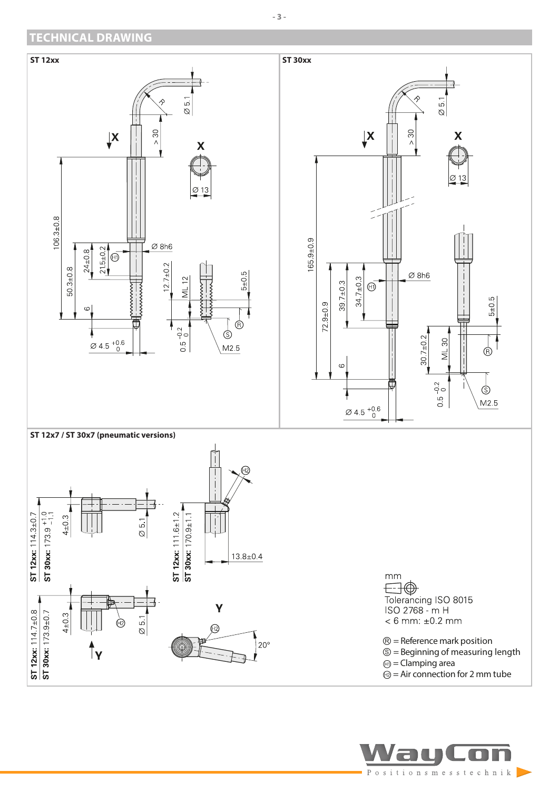## <span id="page-2-0"></span>**TECHNICAL DRAWING**



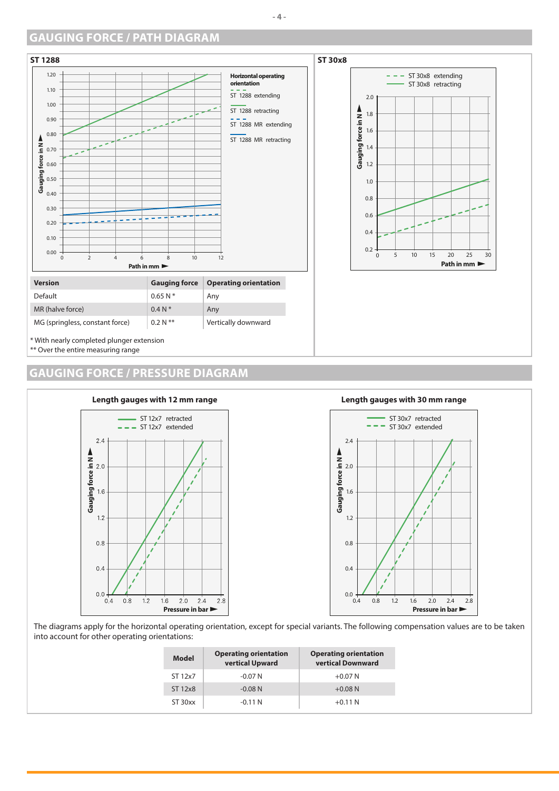#### <span id="page-3-0"></span>**GAUGING FORCE / PATH DIAGRAM**





\*\* Over the entire measuring range

#### **GAUGING FORCE / PRESSURE DIAGRAM**





The diagrams apply for the horizontal operating orientation, except for special variants. The following compensation values are to be taken into account for other operating orientations:

| Model   | <b>Operating orientation</b><br>vertical Upward | <b>Operating orientation</b><br>vertical Downward |
|---------|-------------------------------------------------|---------------------------------------------------|
| ST 12x7 | $-0.07N$                                        | $+0.07N$                                          |
| ST 12x8 | $-0.08$ N                                       | $+0.08N$                                          |
| ST 30xx | $-0.11$ N                                       | $+0.11 N$                                         |

#### **- 4 -**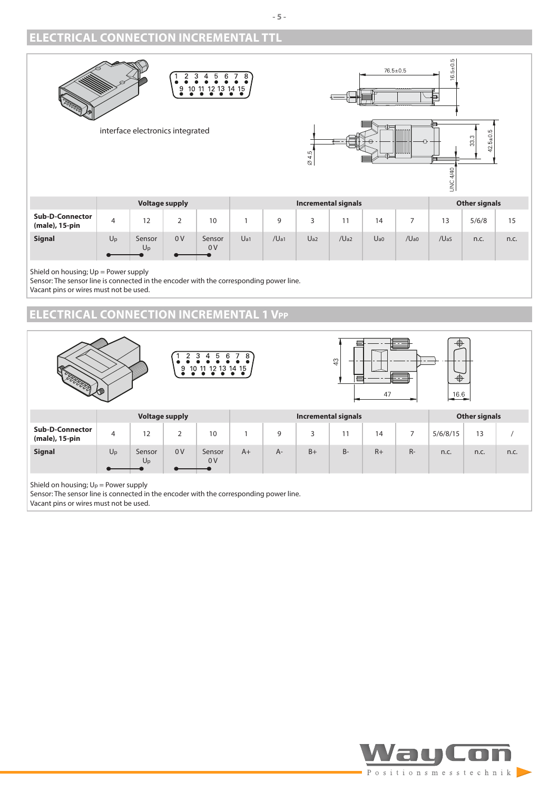### <span id="page-4-0"></span>**ELECTRICAL CONNECTION INCREMENTAL TTL**



Shield on housing; Up = Power supply

Sensor: The sensor line is connected in the encoder with the corresponding power line. Vacant pins or wires must not be used.

## **ELECTRICAL CONNECTION INCREMENTAL 1 Vpp**



Vacant pins or wires must not be used.